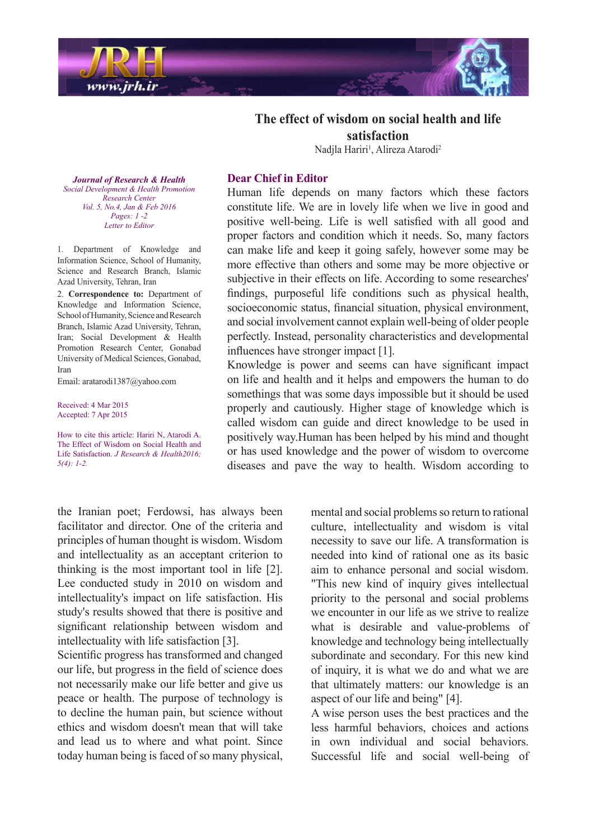

## **The effect of wisdom on social health and life satisfaction**

Nadjla Hariri<sup>1</sup>, Alireza Atarodi<sup>2</sup>

**Journal of Research & Health**  *Promotion Health & Development Social Center Research Vol. 5, No.4, Jan & Feb 2016 -2 1 :Pages Editor to Letter*

1. Department of Knowledge and Information Science, School of Humanity, Science and Research Branch, Islamic Azad University, Tehran, Iran

2. Correspondence to: Department of Knowledge and Information Science, School of Humanity, Science and Research Branch, Islamic Azad University, Tehran, Iran; Social Development & Health Promotion Research Center, Gonabad University of Medical Sciences, Gonabad. Iran

Email: aratarodi 1387@yahoo.com

Received: 4 Mar 2015 Accepted: 7 Apr 2015

How to cite this article: Hariri N. Atarodi A. The Effect of Wisdom on Social Health and Life Satisfaction. *J Research & Health2016*;  $5(4): 1-2.$ 

## **Dear Chief in Editor**

Human life depends on many factors which these factors constitute life. We are in lovely life when we live in good and positive well-being. Life is well satisfied with all good and proper factors and condition which it needs. So, many factors can make life and keep it going safely, however some may be more effective than others and some may be more objective or subjective in their effects on life. According to some researches' findings, purposeful life conditions such as physical health, socioeconomic status, financial situation, physical environment, and social involvement cannot explain well-being of older people perfectly. Instead, personality characteristics and developmental influences have stronger impact  $[1]$ .

Knowledge is power and seems can have significant impact on life and health and it helps and empowers the human to do somethings that was some days impossible but it should be used properly and cautiously. Higher stage of knowledge which is called wisdom can guide and direct knowledge to be used in positively way. Human has been helped by his mind and thought. or has used knowledge and the power of wisdom to overcome diseases and pave the way to health. Wisdom according to

the Iranian poet; Ferdowsi, has always been facilitator and director. One of the criteria and principles of human thought is wisdom. Wisdom and intellectuality as an acceptant criterion to thinking is the most important tool in life  $[2]$ . Lee conducted study in 2010 on wisdom and intellectuality's impact on life satisfaction. His study's results showed that there is positive and significant relationship between wisdom and intellectuality with life satisfaction [3].

Scientific progress has transformed and changed our life, but progress in the field of science does not necessarily make our life better and give us peace or health. The purpose of technology is to decline the human pain, but science without ethics and wisdom doesn't mean that will take and lead us to where and what point. Since today human being is faced of so many physical, mental and social problems so return to rational culture, intellectuality and wisdom is vital necessity to save our life. A transformation is needed into kind of rational one as its basic aim to enhance personal and social wisdom. "This new kind of inquiry gives intellectual priority to the personal and social problems we encounter in our life as we strive to realize what is desirable and value-problems of knowledge and technology being intellectually subordinate and secondary. For this new kind of inquiry, it is what we do and what we are that ultimately matters: our knowledge is an aspect of our life and being" [4].

A wise person uses the best practices and the less harmful behaviors, choices and actions in own individual and social behaviors. Successful life and social well-being of